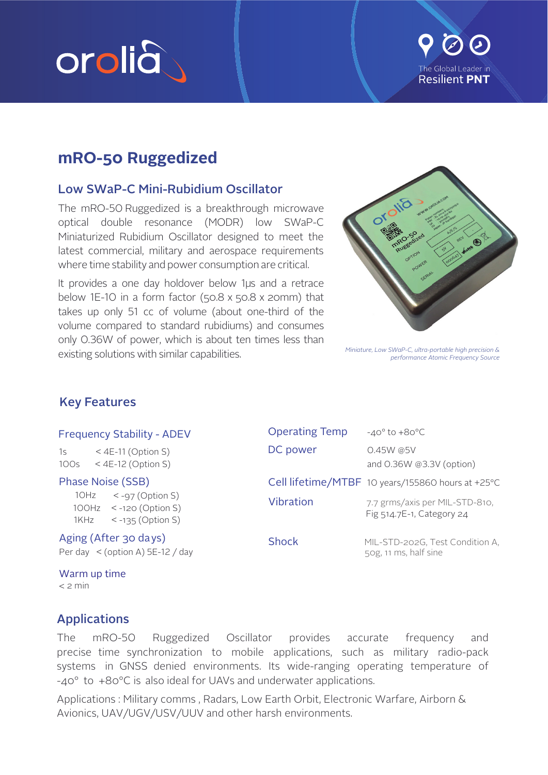# orolia



# mRO-50 Ruggedized

## **Low SWaP-C Mini-Rubidium Oscillator**

The mRO-50 Ruggedized is a breakthrough microwave optical double resonance (MODR) low SWaP-C Miniaturized Rubidium Oscillator designed to meet the latest commercial, military and aerospace requirements where time stability and power consumption are critical.

It provides a one day holdover below 1µs and a retrace below 1E-10 in a form factor  $(50.8 \times 50.8 \times 20$ mm) that takes up only 51 cc of volume (about one-third of the volume compared to standard rubidiums) and consumes only 0.36W of power, which is about ten times less than existing solutions with similar capabilities.



Miniature, Low SWaP-C, ultra-portable high precision & performance Atomic Frequency Source

# **Key Features**

#### **Frequency Stability - ADEV**

 $15$  $<$  4E-11 (Option S)  $100s$  $<$  4E-12 (Option S)

Phase Noise (SSB) 10Hz  $<$  -97 (Option S) 100Hz  $\leq$  -120 (Option S) 1KHz  $< -135$  (Option S)

Aging (After 30 days) Per day  $\leq$  (option A) 5E-12 / day

Warm up time  $<$  2 min

| <b>Operating Temp</b> | $-40^\circ$ to $+80^\circ C$                                |
|-----------------------|-------------------------------------------------------------|
| DC power              | $0.45W$ @5V<br>and 0.36W @3.3V (option)                     |
|                       | Cell lifetime/MTBF 10 years/155860 hours at +25°C           |
| Vibration             | 7.7 grms/axis per MIL-STD-810,<br>Fig 514.7E-1, Category 24 |
| <b>Shock</b>          | MIL-STD-202G, Test Condition A,<br>50g, 11 ms, half sine    |

# **Applications**

Oscillator The mRO-50 Ruggedized provides accurate frequency and precise time synchronization to mobile applications, such as military radio-pack systems in GNSS denied environments. Its wide-ranging operating temperature of  $-40^{\circ}$  to  $+80^{\circ}$ C is also ideal for UAVs and underwater applications.

Applications: Military comms, Radars, Low Earth Orbit, Electronic Warfare, Airborn & Avionics, UAV/UGV/USV/UUV and other harsh environments.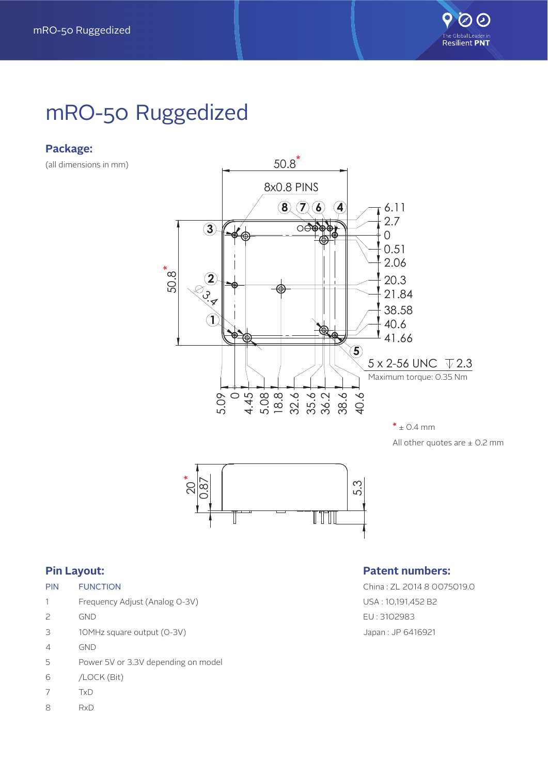

# mRO-50 Ruggedized

#### **Package:**

(all dimensions in mm)



All other quotes are  $\pm$  0.2 mm



#### **Pin Layout:**

| PIN | <b>FUNCTION</b> |
|-----|-----------------|
|     |                 |

- 1 Frequency Adjust (Analog 0-3V)
- 2 GND
- 3 10MHz square output (0-3V)
- 4 GND
- 5 Power 5V or 3.3V depending on model
- 6 /LOCK (Bit)
- 7 TxD
- 8 RxD

#### **Patent numbers:**

China : ZL 2014 8 0075019.0 USA : 10,191,452 B2 EU : 3102983 Japan : JP 6416921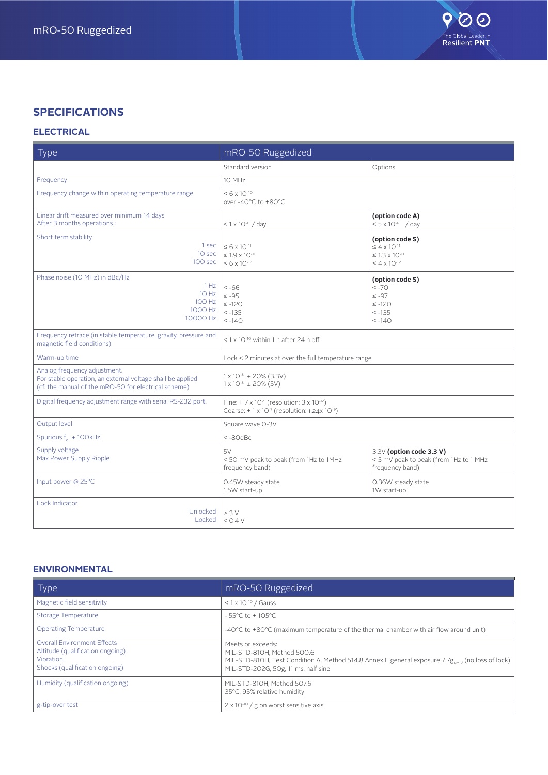### **SPECIFICATIONS**

#### **ELECTRICAL**

| Type                                                                                                                                               | mRO-50 Ruggedized                                                                                                                                 |                                                                                                       |
|----------------------------------------------------------------------------------------------------------------------------------------------------|---------------------------------------------------------------------------------------------------------------------------------------------------|-------------------------------------------------------------------------------------------------------|
|                                                                                                                                                    | Standard version                                                                                                                                  | Options                                                                                               |
| Frequency                                                                                                                                          | 10 MHz                                                                                                                                            |                                                                                                       |
| Frequency change within operating temperature range                                                                                                | $\leq 6 \times 10^{-10}$<br>over -40°C to +80°C                                                                                                   |                                                                                                       |
| Linear drift measured over minimum 14 days<br>After 3 months operations :                                                                          | $< 1 \times 10^{-11}$ / day                                                                                                                       | (option code A)<br>$< 5 \times 10^{-12}$ / day                                                        |
| Short term stability<br>1 sec<br>10 sec<br>100 sec                                                                                                 | $\leq 6 \times 10^{-11}$<br>$\leq$ 1.9 x 10 <sup>-11</sup><br>$\leq 6 \times 10^{-12}$                                                            | (option code S)<br>$\leq 4 \times 10^{-11}$<br>$\leq 1.3 \times 10^{-11}$<br>$\leq 4 \times 10^{-12}$ |
| Phase noise (10 MHz) in dBc/Hz<br>1 Hz<br>10 Hz<br>100 Hz<br>1000 Hz<br>10000 Hz                                                                   | $\leq -66$<br>$\leq -95$<br>$\le -120$<br>$\leq -135$<br>$\leq -140$                                                                              | (option code S)<br>$\leq -70$<br>$\leq -97$<br>$\leq -120$<br>$\leq -135$<br>$\leq -140$              |
| Frequency retrace (in stable temperature, gravity, pressure and<br>magnetic field conditions)                                                      | $< 1 \times 10^{-10}$ within 1 h after 24 h off                                                                                                   |                                                                                                       |
| Warm-up time                                                                                                                                       | Lock < 2 minutes at over the full temperature range                                                                                               |                                                                                                       |
| Analog frequency adjustment.<br>For stable operation, an external voltage shall be applied<br>(cf. the manual of the mRO-50 for electrical scheme) | $1 \times 10^{-8} \pm 20\%$ (3.3V)<br>$1 \times 10^{-8} \pm 20\%$ (5V)                                                                            |                                                                                                       |
| Digital frequency adjustment range with serial RS-232 port.                                                                                        | Fine: $\pm$ 7 x 10 <sup>-9</sup> (resolution: 3 x 10 <sup>-12</sup> )<br>Coarse: $\pm$ 1 x 10 <sup>-7</sup> (resolution: 1.24x 10 <sup>-9</sup> ) |                                                                                                       |
| Output level                                                                                                                                       | Square wave O-3V                                                                                                                                  |                                                                                                       |
| Spurious $f_a \pm 100$ kHz                                                                                                                         | $< -80$ d $Bc$                                                                                                                                    |                                                                                                       |
| Supply voltage<br>Max Power Supply Ripple                                                                                                          | 5V<br><50 mV peak to peak (from 1Hz to 1MHz<br>frequency band)                                                                                    | 3.3V (option code 3.3 V)<br>< 5 mV peak to peak (from 1Hz to 1 MHz<br>frequency band)                 |
| Input power @ 25°C                                                                                                                                 | 0.45W steady state<br>1.5W start-up                                                                                                               | 0.36W steady state<br>1W start-up                                                                     |
| Lock Indicator<br>Unlocked<br>Locked                                                                                                               | > 3 V<br>$<$ 0.4 V                                                                                                                                |                                                                                                       |

#### **ENVIRONMENTAL**

| Type                                                                                                                   | mRO-50 Ruggedized                                                                                                                                                                                      |
|------------------------------------------------------------------------------------------------------------------------|--------------------------------------------------------------------------------------------------------------------------------------------------------------------------------------------------------|
| Magnetic field sensitivity                                                                                             | $< 1 \times 10^{-10}$ / Gauss                                                                                                                                                                          |
| Storage Temperature                                                                                                    | $-55^{\circ}$ C to +105 $^{\circ}$ C                                                                                                                                                                   |
| <b>Operating Temperature</b>                                                                                           | -40°C to +80°C (maximum temperature of the thermal chamber with air flow around unit)                                                                                                                  |
| <b>Overall Environment Effects</b><br>Altitude (qualification ongoing)<br>Vibration.<br>Shocks (qualification ongoing) | Meets or exceeds:<br>MIL-STD-810H. Method 500.6<br>MIL-STD-810H, Test Condition A, Method 514.8 Annex E general exposure 7.7g <sub>pMSI</sub> (no loss of lock)<br>MIL-STD-202G, 50g, 11 ms, half sine |
| Humidity (qualification ongoing)                                                                                       | MIL-STD-810H, Method 507.6<br>35°C, 95% relative humidity                                                                                                                                              |
| g-tip-over test                                                                                                        | $2 \times 10^{-10}$ / g on worst sensitive axis                                                                                                                                                        |